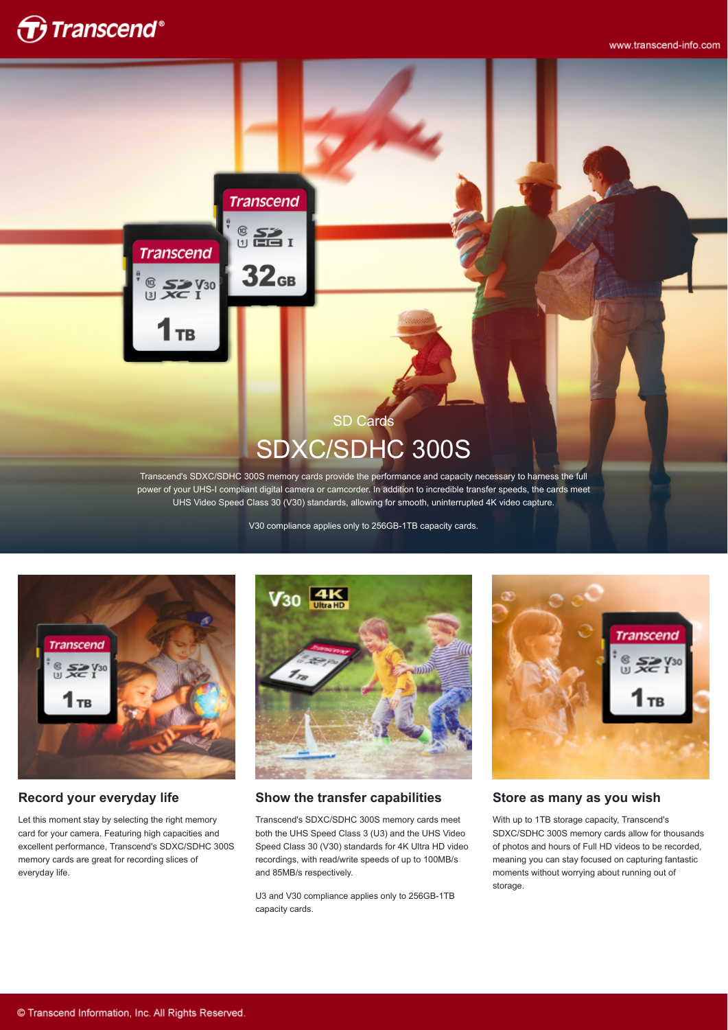

# **Transcend**

## $\frac{6}{10}$   $\frac{52}{10}$   $\frac{1}{10}$

 $32<sub>GB</sub>$ 

**Transcend** 

 $^{\circledR}$ 

 $\frac{10}{3}$   $\frac{5}{2}$   $\frac{V_{30}}{I}$ 

**TB** 

## SD Cards SDXC/SDHC 300S

Transcend's SDXC/SDHC 300S memory cards provide the performance and capacity necessary to harness the full power of your UHS-I compliant digital camera or camcorder. In addition to incredible transfer speeds, the cards meet UHS Video Speed Class 30 (V30) standards, allowing for smooth, uninterrupted 4K video capture.

V30 compliance applies only to 256GB-1TB capacity cards.



#### **Record your everyday life**

Let this moment stay by selecting the right memory card for your camera. Featuring high capacities and excellent performance, Transcend's SDXC/SDHC 300S memory cards are great for recording slices of everyday life.



#### **Show the transfer capabilities**

Transcend's SDXC/SDHC 300S memory cards meet both the UHS Speed Class 3 (U3) and the UHS Video Speed Class 30 (V30) standards for 4K Ultra HD video recordings, with read/write speeds of up to 100MB/s and 85MB/s respectively.

U3 and V30 compliance applies only to 256GB-1TB capacity cards.



#### **Store as many as you wish**

With up to 1TB storage capacity, Transcend's SDXC/SDHC 300S memory cards allow for thousands of photos and hours of Full HD videos to be recorded, meaning you can stay focused on capturing fantastic moments without worrying about running out of storage.